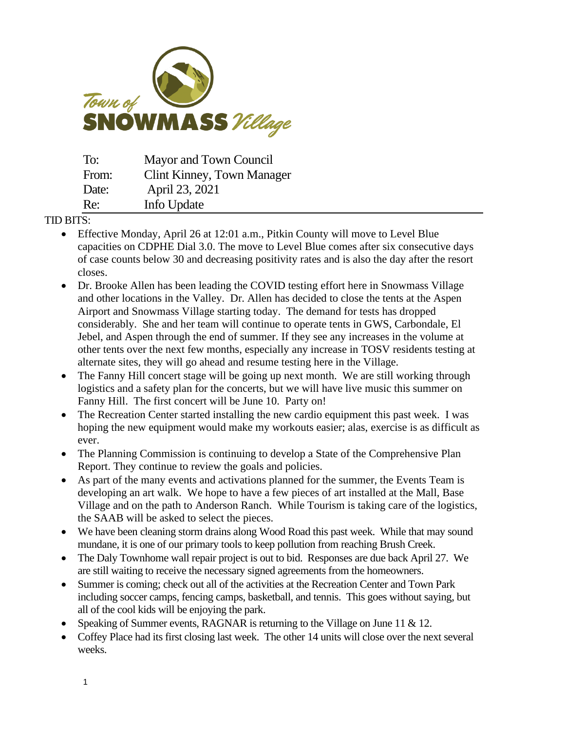

| To:   | Mayor and Town Council     |
|-------|----------------------------|
| From: | Clint Kinney, Town Manager |
| Date: | April 23, 2021             |
| Re:   | Info Update                |

## TID BITS:

- Effective Monday, April 26 at 12:01 a.m., Pitkin County will move to Level Blue capacities on CDPHE Dial 3.0. The move to Level Blue comes after [six consecutive days](https://covid19.pitkincounty.com/covid-data-dashboards/covid-dial/)  [of case counts below 30 and decreasing positivity rates](https://covid19.pitkincounty.com/covid-data-dashboards/covid-dial/) and is also the day after the resort closes.
- Dr. Brooke Allen has been leading the COVID testing effort here in Snowmass Village and other locations in the Valley. Dr. Allen has decided to close the tents at the Aspen Airport and Snowmass Village starting today. The demand for tests has dropped considerably. She and her team will continue to operate tents in GWS, Carbondale, El Jebel, and Aspen through the end of summer. If they see any increases in the volume at other tents over the next few months, especially any increase in TOSV residents testing at alternate sites, they will go ahead and resume testing here in the Village.
- The Fanny Hill concert stage will be going up next month. We are still working through logistics and a safety plan for the concerts, but we will have live music this summer on Fanny Hill. The first concert will be June 10. Party on!
- The Recreation Center started installing the new cardio equipment this past week. I was hoping the new equipment would make my workouts easier; alas, exercise is as difficult as ever.
- The Planning Commission is continuing to develop a State of the Comprehensive Plan Report. They continue to review the goals and policies.
- As part of the many events and activations planned for the summer, the Events Team is developing an art walk. We hope to have a few pieces of art installed at the Mall, Base Village and on the path to Anderson Ranch. While Tourism is taking care of the logistics, the SAAB will be asked to select the pieces.
- We have been cleaning storm drains along Wood Road this past week. While that may sound mundane, it is one of our primary tools to keep pollution from reaching Brush Creek.
- The Daly Townhome wall repair project is out to bid. Responses are due back April 27. We are still waiting to receive the necessary signed agreements from the homeowners.
- Summer is coming; check out all of the activities at the Recreation Center and Town Park including soccer camps, fencing camps, basketball, and tennis. This goes without saying, but all of the cool kids will be enjoying the park.
- Speaking of Summer events, RAGNAR is returning to the Village on June 11 & 12.
- Coffey Place had its first closing last week. The other 14 units will close over the next several weeks.